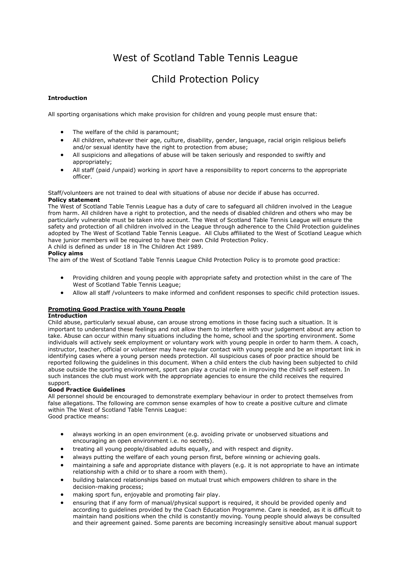# West of Scotland Table Tennis League

# Child Protection Policy

# **Introduction**

All sporting organisations which make provision for children and young people must ensure that:

- The welfare of the child is paramount;
- All children, whatever their age, culture, disability, gender, language, racial origin religious beliefs and/or sexual identity have the right to protection from abuse;
- All suspicions and allegations of abuse will be taken seriously and responded to swiftly and appropriately;
- All staff (paid /unpaid) working in *sport* have a responsibility to report concerns to the appropriate officer.

#### Staff/volunteers are not trained to deal with situations of abuse nor decide if abuse has occurred. **Policy statement**

The West of Scotland Table Tennis League has a duty of care to safeguard all children involved in the League from harm. All children have a right to protection, and the needs of disabled children and others who may be particularly vulnerable must be taken into account. The West of Scotland Table Tennis League will ensure the safety and protection of all children involved in the League through adherence to the Child Protection guidelines adopted by The West of Scotland Table Tennis League. All Clubs affiliated to the West of Scotland League which have junior members will be required to have their own Child Protection Policy.

A child is defined as under 18 in The Children Act 1989.

# **Policy aims**

The aim of the West of Scotland Table Tennis League Child Protection Policy is to promote good practice:

- Providing children and young people with appropriate safety and protection whilst in the care of The West of Scotland Table Tennis League;
- Allow all staff /volunteers to make informed and confident responses to specific child protection issues.

# **Promoting Good Practice with Young People**

# **Introduction**

Child abuse, particularly sexual abuse, can arouse strong emotions in those facing such a situation. It is important to understand these feelings and not allow them to interfere with your judgement about any action to take. Abuse can occur within many situations including the home, school and the sporting environment. Some individuals will actively seek employment or voluntary work with young people in order to harm them. A coach, instructor, teacher, official or volunteer may have regular contact with young people and be an important link in identifying cases where a young person needs protection. All suspicious cases of poor practice should be reported following the guidelines in this document. When a child enters the club having been subjected to child abuse outside the sporting environment, sport can play a crucial role in improving the child's self esteem. In such instances the club must work with the appropriate agencies to ensure the child receives the required support.

# **Good Practice Guidelines**

All personnel should be encouraged to demonstrate exemplary behaviour in order to protect themselves from false allegations. The following are common sense examples of how to create a positive culture and climate within The West of Scotland Table Tennis League:

Good practice means:

- always working in an open environment (e.g. avoiding private or unobserved situations and encouraging an open environment i.e. no secrets).
- treating all young people/disabled adults equally, and with respect and dignity.
- always putting the welfare of each young person first, before winning or achieving goals.
- maintaining a safe and appropriate distance with players (e.g. it is not appropriate to have an intimate relationship with a child or to share a room with them).
- building balanced relationships based on mutual trust which empowers children to share in the decision-making process;
- making sport fun, enjoyable and promoting fair play.
- ensuring that if any form of manual/physical support is required, it should be provided openly and according to guidelines provided by the Coach Education Programme. Care is needed, as it is difficult to maintain hand positions when the child is constantly moving. Young people should always be consulted and their agreement gained. Some parents are becoming increasingly sensitive about manual support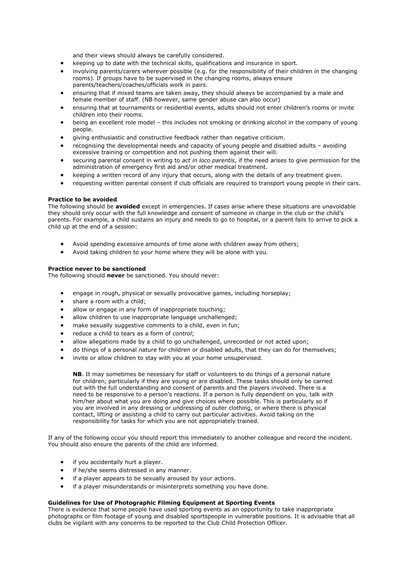and their views should always be carefully considered.

- keeping up to date with the technical skills, qualifications and insurance in sport.
- involving parents/carers wherever possible (e.g. for the responsibility of their children in the changing rooms). If groups have to be supervised in the changing rooms, always ensure parents/teachers/coaches/officials work in pairs.
- ensuring that if mixed teams are taken away, they should always be accompanied by a male and female member of staff. (NB however, same gender abuse can also occur)
- ensuring that at tournaments or residential events, adults should not enter children's rooms or invite children into their rooms.
- being an excellent role model this includes not smoking or drinking alcohol in the company of young people.
- giving enthusiastic and constructive feedback rather than negative criticism.
- recognising the developmental needs and capacity of young people and disabled adults avoiding excessive training or competition and not pushing them against their will.
- securing parental consent in writing to *act in loco parentis*, if the need arises to give permission for the administration of emergency first aid and/or other medical treatment.
- keeping a written record of any injury that occurs, along with the details of any treatment given.
- requesting written parental consent if club officials are required to transport young people in their cars.

#### **Practice to be avoided**

The following should be **avoided** except in emergencies. If cases arise where these situations are unavoidable they should only occur with the full knowledge and consent of someone in charge in the club or the child's parents. For example, a child sustains an injury and needs to go to hospital, or a parent fails to arrive to pick a child up at the end of a session:

- Avoid spending excessive amounts of time alone with children away from others;
- Avoid taking children to your home where they will be alone with you.

#### **Practice never to be sanctioned**

The following should **never** be sanctioned. You should never:

- engage in rough, physical or sexually provocative games, including horseplay;
- share a room with a child;
- allow or engage in any form of inappropriate touching;
- allow children to use inappropriate language unchallenged;
- make sexually suggestive comments to a child, even in fun;
- reduce a child to tears as a form of *control*;
- allow allegations made by a child to go unchallenged, unrecorded or not acted upon;
- do things of a personal nature for children or disabled adults, that they can do for themselves;
- invite or allow children to stay with you at your home unsupervised.

**NB**. It may sometimes be necessary for staff or volunteers to do things of a personal nature for children, particularly if they are young or are disabled. These tasks should only be carried out with the full understanding and consent of parents and the players involved. There is a need to be responsive to a person's reactions. If a person is fully dependent on you, talk with him/her about what you are doing and give choices where possible. This is particularly so if you are involved in any dressing or undressing of outer clothing, or where there is physical contact, lifting or assisting a child to carry out particular activities. Avoid taking on the responsibility for tasks for which you are not appropriately trained.

If any of the following occur you should report this immediately to another colleague and record the incident. You should also ensure the parents of the child are informed.

- if you accidentally hurt a player.
- if he/she seems distressed in any manner.
- if a player appears to be sexually aroused by your actions.
- if a player misunderstands or misinterprets something you have done.

#### **Guidelines for Use of Photographic Filming Equipment at Sporting Events**

There is evidence that some people have used sporting events as an opportunity to take inappropriate photographs or film footage of young and disabled sportspeople in vulnerable positions. It is advisable that all clubs be vigilant with any concerns to be reported to the Club Child Protection Officer.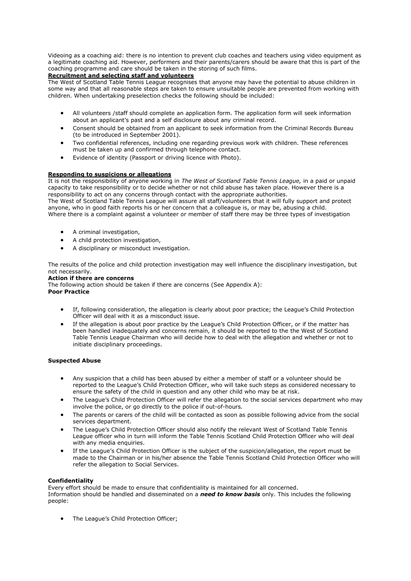Videoing as a coaching aid: there is no intention to prevent club coaches and teachers using video equipment as a legitimate coaching aid. However, performers and their parents/carers should be aware that this is part of the coaching programme and care should be taken in the storing of such films.

# **Recruitment and selecting staff and volunteers**

The West of Scotland Table Tennis League recognises that anyone may have the potential to abuse children in some way and that all reasonable steps are taken to ensure unsuitable people are prevented from working with children. When undertaking preselection checks the following should be included:

- All volunteers /staff should complete an application form. The application form will seek information about an applicant's past and a self disclosure about any criminal record.
- Consent should be obtained from an applicant to seek information from the Criminal Records Bureau (to be introduced in September 2001).
- Two confidential references, including one regarding previous work with children. These references must be taken up and confirmed through telephone contact.
- Evidence of identity (Passport or driving licence with Photo).

## **Responding to suspicions or allegations**

It is not the responsibility of anyone working in *The West of Scotland Table Tennis League,* in a paid or unpaid capacity to take responsibility or to decide whether or not child abuse has taken place. However there is a responsibility to act on any concerns through contact with the appropriate authorities.

The West of Scotland Table Tennis League will assure all staff/volunteers that it will fully support and protect anyone, who in good faith reports his or her concern that a colleague is, or may be, abusing a child. Where there is a complaint against a volunteer or member of staff there may be three types of investigation

- A criminal investigation,
- A child protection investigation,
- A disciplinary or misconduct investigation.

The results of the police and child protection investigation may well influence the disciplinary investigation, but not necessarily.

#### **Action if there are concerns**

The following action should be taken if there are concerns (See Appendix A): **Poor Practice**

- If, following consideration, the allegation is clearly about poor practice; the League's Child Protection Officer will deal with it as a misconduct issue.
- If the allegation is about poor practice by the League's Child Protection Officer, or if the matter has been handled inadequately and concerns remain, it should be reported to the the West of Scotland Table Tennis League Chairman who will decide how to deal with the allegation and whether or not to initiate disciplinary proceedings.

#### **Suspected Abuse**

- Any suspicion that a child has been abused by either a member of staff or a volunteer should be reported to the League's Child Protection Officer, who will take such steps as considered necessary to ensure the safety of the child in question and any other child who may be at risk.
- The League's Child Protection Officer will refer the allegation to the social services department who may involve the police, or go directly to the police if out-of-hours*.*
- The parents or carers of the child will be contacted as soon as possible following advice from the social services department.
- The League's Child Protection Officer should also notify the relevant West of Scotland Table Tennis League officer who in turn will inform the Table Tennis Scotland Child Protection Officer who will deal with any media enquiries.
- If the League's Child Protection Officer is the subject of the suspicion/allegation, the report must be made to the Chairman or in his/her absence the Table Tennis Scotland Child Protection Officer who will refer the allegation to Social Services.

#### **Confidentiality**

Every effort should be made to ensure that confidentiality is maintained for all concerned. Information should be handled and disseminated on a *need to know basis* only. This includes the following people:

The League's Child Protection Officer;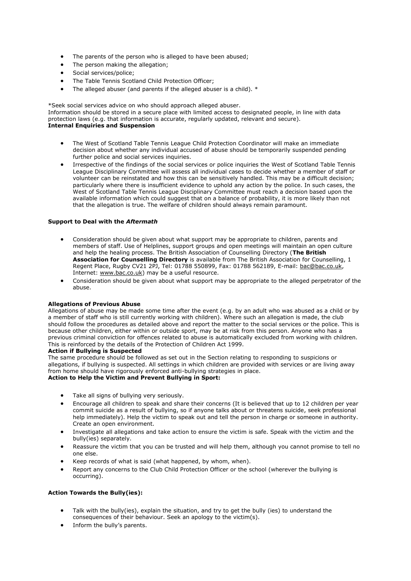- The parents of the person who is alleged to have been abused;
- The person making the allegation;
- Social services/police;
- The Table Tennis Scotland Child Protection Officer;
- The alleged abuser (and parents if the alleged abuser is a child). \*

\*Seek social services advice on who should approach alleged abuser.

Information should be stored in a secure place with limited access to designated people, in line with data protection laws (e.g. that information is accurate, regularly updated, relevant and secure). **Internal Enquiries and Suspension**

- The West of Scotland Table Tennis League Child Protection Coordinator will make an immediate decision about whether any individual accused of abuse should be temporarily suspended pending further police and social services inquiries.
- Irrespective of the findings of the social services or police inquiries the West of Scotland Table Tennis League Disciplinary Committee will assess all individual cases to decide whether a member of staff or volunteer can be reinstated and how this can be sensitively handled. This may be a difficult decision; particularly where there is insufficient evidence to uphold any action by the police. In such cases, the West of Scotland Table Tennis League Disciplinary Committee must reach a decision based upon the available information which could suggest that on a balance of probability, it is more likely than not that the allegation is true. The welfare of children should always remain paramount.

#### **Support to Deal with the** *Aftermath*

- Consideration should be given about what support may be appropriate to children, parents and members of staff. Use of Helplines, support groups and open meetings will maintain an open culture and help the healing process. The British Association of Counselling Directory (**The British Association for Counselling Directory** is available from The British Association for Counselling, 1 Regent Place, Rugby CV21 2PJ, Tel: 01788 550899, Fax: 01788 562189, E-mail: [bac@bac.co.uk,](mailto:bac@bac.co.uk) Internet: [www.bac.co.uk\)](http://www.bac.co.uk/) may be a useful resource.
- Consideration should be given about what support may be appropriate to the alleged perpetrator of the abuse.

#### **Allegations of Previous Abuse**

Allegations of abuse may be made some time after the event (e.g. by an adult who was abused as a child or by a member of staff who is still currently working with children). Where such an allegation is made, the club should follow the procedures as detailed above and report the matter to the social services or the police. This is because other children, either within or outside sport, may be at risk from this person. Anyone who has a previous criminal conviction for offences related to abuse is automatically excluded from working with children. This is reinforced by the details of the Protection of Children Act 1999.

### **Action if Bullying is Suspected**

The same procedure should be followed as set out in the Section relating to responding to suspicions or allegations, if bullying is suspected. All settings in which children are provided with services or are living away from home should have rigorously enforced anti-bullying strategies in place. **Action to Help the Victim and Prevent Bullying in Sport:** 

- Take all signs of bullying very seriously.
- Encourage all children to speak and share their concerns (It is believed that up to 12 children per year commit suicide as a result of bullying, so if anyone talks about or threatens suicide, seek professional help immediately). Help the victim to speak out and tell the person in charge or someone in authority. Create an open environment.
- Investigate all allegations and take action to ensure the victim is safe. Speak with the victim and the bully(ies) separately.
- Reassure the victim that you can be trusted and will help them, although you cannot promise to tell no one else.
- Keep records of what is said (what happened, by whom, when).
- Report any concerns to the Club Child Protection Officer or the school (wherever the bullying is occurring).

# **Action Towards the Bully(ies):**

- Talk with the bully(ies), explain the situation, and try to get the bully (ies) to understand the consequences of their behaviour. Seek an apology to the victim(s).
- Inform the bully's parents.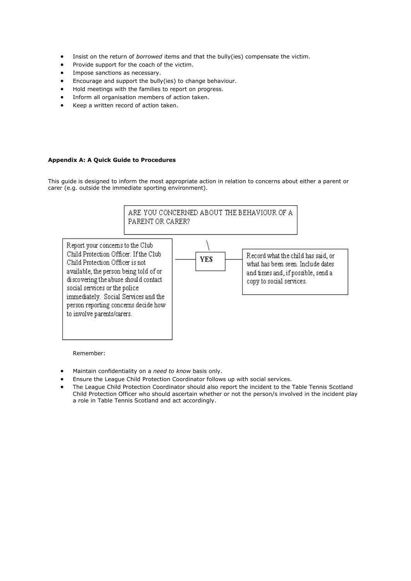- Insist on the return of *borrowed* items and that the bully(ies) compensate the victim.
- Provide support for the coach of the victim.
- Impose sanctions as necessary.
- Encourage and support the bully(ies) to change behaviour.
- Hold meetings with the families to report on progress.
- Inform all organisation members of action taken.
- Keep a written record of action taken.

#### **Appendix A: A Quick Guide to Procedures**

This guide is designed to inform the most appropriate action in relation to concerns about either a parent or carer (e.g. outside the immediate sporting environment).



Remember:

- Maintain confidentiality on a *need to know* basis only.
- Ensure the League Child Protection Coordinator follows up with social services.
- The League Child Protection Coordinator should also report the incident to the Table Tennis Scotland Child Protection Officer who should ascertain whether or not the person/s involved in the incident play a role in Table Tennis Scotland and act accordingly.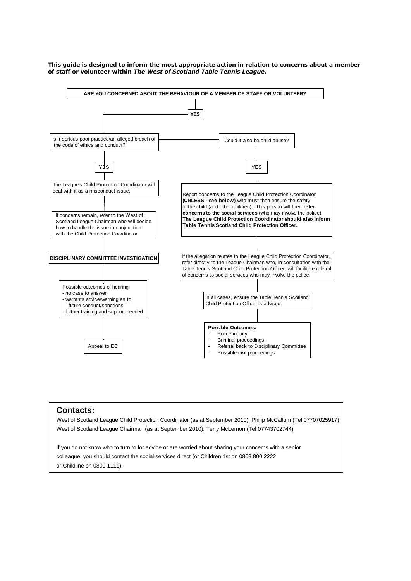

#### **This guide is designed to inform the most appropriate action in relation to concerns about a member of staff or volunteer within** *The West of Scotland Table Tennis League.*

# **Contacts:**

West of Scotland League Child Protection Coordinator (as at September 2010): Philip McCallum (Tel 07707025917) West of Scotland League Chairman (as at September 2010): Terry McLernon (Tel 07743702744)

If you do not know who to turn to for advice or are worried about sharing your concerns with a senior colleague, you should contact the social services direct (or Children 1st on 0808 800 2222 or Childline on 0800 1111).